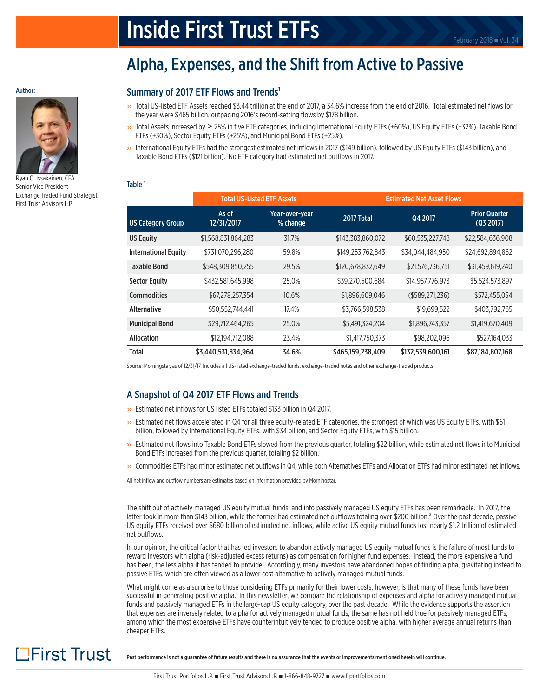# **Inside First Trust ETFs** February 2018 a Vol. 34

# Alpha, Expenses, and the Shift from Active to Passive

# Summary of 2017 ETF Flows and Trends<sup>1</sup>

- » Total US-listed ETF Assets reached \$3.44 trillion at the end of 2017, a 34.6% increase from the end of 2016. Total estimated net flows for the year were \$465 billion, outpacing 2016's record-setting flows by \$178 billion.
- » Total Assets increased by <sup>≥</sup> 25% in five ETF categories, including International Equity ETFs (+60%), US Equity ETFs (+32%), Taxable Bond ETFs (+30%), Sector Equity ETFs (+25%), and Municipal Bond ETFs (+25%).
- » International Equity ETFs had the strongest estimated net inflows in 2017 (\$149 billion), followed by US Equity ETFs (\$143 billion), and Taxable Bond ETFs (\$121 billion). No ETF category had estimated net outflows in 2017.

# Table 1

|                             | <b>Total US-Listed ETF Assets</b> |                            | <b>Estimated Net Asset Flows</b> |                   |                                   |  |
|-----------------------------|-----------------------------------|----------------------------|----------------------------------|-------------------|-----------------------------------|--|
| <b>US Category Group</b>    | As of<br>12/31/2017               | Year-over-year<br>% change | 2017 Total                       | Q4 2017           | <b>Prior Quarter</b><br>(Q3 2017) |  |
| <b>US Equity</b>            | \$1,568,831,864,283               | 31.7%                      | \$143,383,860,072                | \$60,535,227,748  | \$22,584,636,908                  |  |
| <b>International Equity</b> | \$731,070,296,280                 | 59.8%                      | \$149,253,762,843                | \$34,044,484,950  | \$24,692,894,862                  |  |
| Taxable Bond                | \$548,309,850,255                 | 29.5%                      | \$120,678,832,649                | \$21,576,736,751  | \$31,459,619,240                  |  |
| <b>Sector Equity</b>        | \$432,581,645,998                 | 25.0%                      | \$39,270,500,684                 | \$14,957,776,973  | \$5,524,573,897                   |  |
| <b>Commodities</b>          | \$67,278,257,354                  | 10.6%                      | \$1,896,609,046                  | (\$589, 271, 236) | \$572,455,054                     |  |
| <b>Alternative</b>          | \$50,552,744,441                  | 17.4%                      | \$3,766,598,538                  | \$19,699,522      | \$403,792,765                     |  |
| <b>Municipal Bond</b>       | \$29,712,464,265                  | 25.0%                      | \$5,491,324,204                  | \$1,896,743,357   | \$1,419,670,409                   |  |
| <b>Allocation</b>           | \$12,194,712,088                  | 23.4%                      | \$1,417,750,373                  | \$98,202,096      | \$527,164,033                     |  |
| Total                       | \$3,440,531,834,964               | 34.6%                      | \$465,159,238,409                | \$132,539,600,161 | \$87,184,807,168                  |  |

Source: Morningstar, as of 12/31/17. Includes all US-listed exchange-traded funds, exchange-traded notes and other exchange-traded products.

# A Snapshot of Q4 2017 ETF Flows and Trends

- » Estimated net inflows for US listed ETFs totaled \$133 billion in Q4 2017.
- » Estimated net flows accelerated in Q4 for all three equity-related ETF categories, the strongest of which was US Equity ETFs, with \$61 billion, followed by International Equity ETFs, with \$34 billion, and Sector Equity ETFs, with \$15 billion.
- » Estimated net flows into Taxable Bond ETFs slowed from the previous quarter, totaling \$22 billion, while estimated net flows into Municipal Bond ETFs increased from the previous quarter, totaling \$2 billion.
- » Commodities ETFs had minor estimated net outflows in Q4, while both Alternatives ETFs and Allocation ETFs had minor estimated net inflows.

All net inflow and outflow numbers are estimates based on information provided by Morningstar.

The shift out of actively managed US equity mutual funds, and into passively managed US equity ETFs has been remarkable. In 2017, the latter took in more than \$143 billion, while the former had estimated net outflows totaling over \$200 billion.<sup>2</sup> Over the past decade, passive US equity ETFs received over \$680 billion of estimated net inflows, while active US equity mutual funds lost nearly \$1.2 trillion of estimated net outflows.

In our opinion, the critical factor that has led investors to abandon actively managed US equity mutual funds is the failure of most funds to reward investors with alpha (risk-adjusted excess returns) as compensation for higher fund expenses. Instead, the more expensive a fund has been, the less alpha it has tended to provide. Accordingly, many investors have abandoned hopes of finding alpha, gravitating instead to passive ETFs, which are often viewed as a lower cost alternative to actively managed mutual funds.

What might come as a surprise to those considering ETFs primarily for their lower costs, however, is that many of these funds have been successful in generating positive alpha. In this newsletter, we compare the relationship of expenses and alpha for actively managed mutual funds and passively managed ETFs in the large-cap US equity category, over the past decade. While the evidence supports the assertion that expenses are inversely related to alpha for actively managed mutual funds, the same has not held true for passively managed ETFs, among which the most expensive ETFs have counterintuitively tended to produce positive alpha, with higher average annual returns than cheaper ETFs.

Past performance is not a guarantee of future results and there is no assurance that the events or improvements mentioned herein will continue.

Author:



Ryan O. Issakainen, CFA Senior Vice President Exchange Traded Fund Strategist First Trust Advisors L.P.

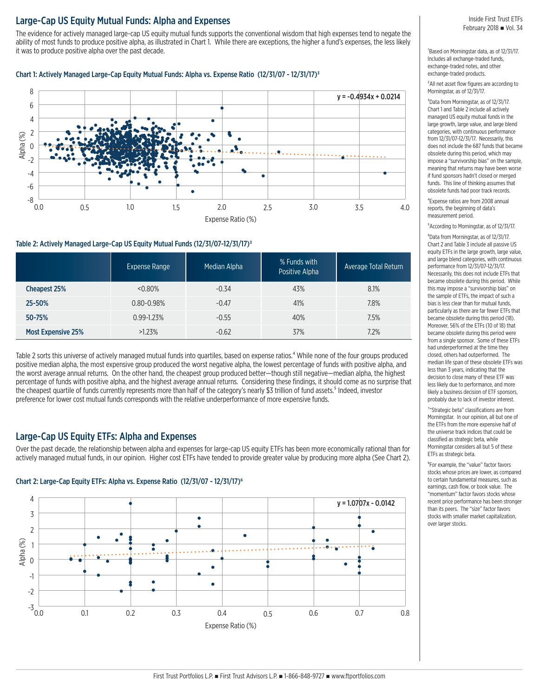# Large-Cap US Equity Mutual Funds: Alpha and Expenses

The evidence for actively managed large-cap US equity mutual funds supports the conventional wisdom that high expenses tend to negate the ability of most funds to produce positive alpha, as illustrated in Chart 1. While there are exceptions, the higher a fund's expenses, the less likely it was to produce positive alpha over the past decade.

#### Chart 1: Actively Managed Large-Cap Equity Mutual Funds: Alpha vs. Expense Ratio (12/31/07 - 12/31/17)3



#### Table 2: Actively Managed Large-Cap US Equity Mutual Funds (12/31/07-12/31/17)3

|                           | Expense Range  | Median Alpha | % Funds with<br>Positive Alpha | Average Total Return |
|---------------------------|----------------|--------------|--------------------------------|----------------------|
| Cheapest 25%              | $&0.80\%$      | $-0.34$      | 43%                            | 8.1%                 |
| 25-50%                    | $0.80 - 0.98%$ | $-0.47$      | 41%                            | 7.8%                 |
| 50-75%                    | 0.99-1.23%     | $-0.55$      | 40%                            | 7.5%                 |
| <b>Most Expensive 25%</b> | $>1.23\%$      | $-0.62$      | 37%                            | 7.2%                 |

Table 2 sorts this universe of actively managed mutual funds into quartiles, based on expense ratios.<sup>4</sup> While none of the four groups produced positive median alpha, the most expensive group produced the worst negative alpha, the lowest percentage of funds with positive alpha, and the worst average annual returns. On the other hand, the cheapest group produced better—though still negative—median alpha, the highest percentage of funds with positive alpha, and the highest average annual returns. Considering these findings, it should come as no surprise that the cheapest quartile of funds currently represents more than half of the category's nearly \$3 trillion of fund assets.<sup>5</sup> Indeed, investor preference for lower cost mutual funds corresponds with the relative underperformance of more expensive funds.

# Large-Cap US Equity ETFs: Alpha and Expenses

Over the past decade, the relationship between alpha and expenses for large-cap US equity ETFs has been more economically rational than for actively managed mutual funds, in our opinion. Higher cost ETFs have tended to provide greater value by producing more alpha (See Chart 2).

#### Chart 2: Large-Cap Equity ETFs: Alpha vs. Expense Ratio (12/31/07 - 12/31/17)6



<sup>1</sup>Based on Morningstar data, as of 12/31/17. Includes all exchange-traded funds, exchange-traded notes, and other exchange-traded products.

<sup>2</sup>All net asset flow figures are according to Morningstar, as of 12/31/17.

3Data from Morningstar, as of 12/31/17. Chart 1 and Table 2 include all actively managed US equity mutual funds in the large growth, large value, and large blend categories, with continuous performance from 12/31/07-12/31/17. Necessarily, this does not include the 687 funds that became obsolete during this period, which may impose a "survivorship bias" on the sample, meaning that returns may have been worse if fund sponsors hadn't closed or merged funds. This line of thinking assumes that obsolete funds had poor track records.

4Expense ratios are from 2008 annual reports, the beginning of data's measurement period.

5According to Morningstar, as of 12/31/17.

6Data from Morningstar, as of 12/31/17. Chart 2 and Table 3 include all passive US equity ETFs in the large growth, large value, and large blend categories, with continuous performance from 12/31/07-12/31/17. Necessarily, this does not include ETFs that became obsolete during this period. While this may impose a "survivorship bias" on the sample of ETFs, the impact of such a bias is less clear than for mutual funds, particularly as there are far fewer ETFs that became obsolete during this period (18). Moreover, 56% of the ETFs (10 of 18) that became obsolete during this period were from a single sponsor. Some of these ETFs had underperformed at the time they closed, others had outperformed. The median life span of these obsolete ETFs was less than 3 years, indicating that the decision to close many of these ETF was less likely due to performance, and more likely a business decision of ETF sponsors, probably due to lack of investor interest.

7"Strategic beta" classifications are from Morningstar. In our opinion, all but one of the ETFs from the more expensive half of the universe track indices that could be classified as strategic beta, while Morningstar considers all but 5 of these ETFs as strategic beta.

8For example, the "value" factor favors stocks whose prices are lower, as compared to certain fundamental measures, such as earnings, cash flow, or book value. The "momentum" factor favors stocks whose recent price performance has been stronger than its peers. The "size" factor favors stocks with smaller market capitalization, over larger stocks.